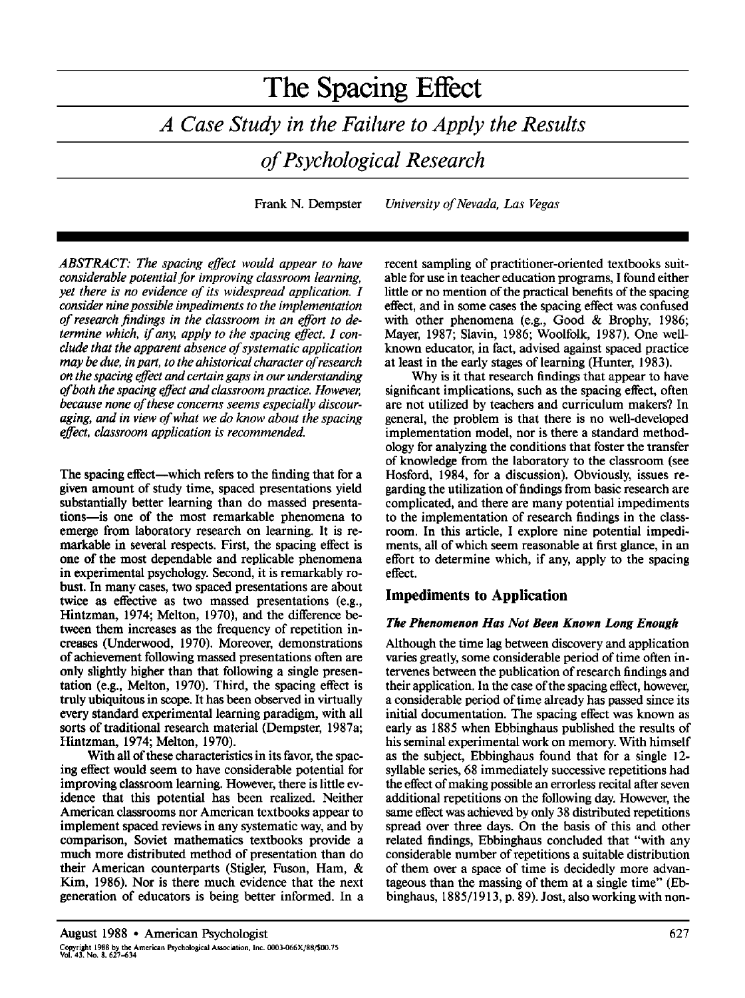Frank N. Dempster *University of Nevada, Las Vegas* 

*ABSTRACT: The spacing effect would appear to have considerable potential for improving classroom learning, yet there is no evidence of its widespread application. I consider nine possible impediments to the implementation of research findings in the classroom in an effort to determine which, if any, apply to the spacing effect. I conclude that the apparent absence of systematic application may be due, in part, to the ahistorical character of research on the spacing effect and certain gaps in our understanding of both the spacing effect and classroom practice. However, because none of these concerns seems especially discouraging, and in view of what we do know about the spacing effect, classroom application is recommended.* 

The spacing effect—which refers to the finding that for a given amount of study time, spaced presentations yield substantially better learning than do massed presentations—is one of the most remarkable phenomena to emerge from laboratory research on learning. It is remarkable in several respects. First, the spacing effect is one of the most dependable and replicable phenomena in experimental psychology. Second, it is remarkably robust. In many cases, two spaced presentations are about twice as effective as two massed presentations (e.g., Hintzman, 1974; Melton, 1970), and the difference between them increases as the frequency of repetition increases (Underwood, 1970). Moreover, demonstrations of achievement following massed presentations often are only slightly higher than that following a single presentation (e.g., Melton, 1970). Third, the spacing effect is truly ubiquitous in scope. It has been observed in virtually every standard experimental learning paradigm, with all sorts of traditional research material (Dempster, 1987a; Hintzman, 1974; Melton, 1970).

With all of these characteristics in its favor, the spacing effect would seem to have considerable potential for improving classroom learning. However, there is little evidence that this potential has been realized. Neither American classrooms nor American textbooks appear to implement spaced reviews in any systematic way, and by comparison, Soviet mathematics textbooks provide a much more distributed method of presentation than do their American counterparts (Stigler, Fuson, Ham, & Kim, 1986). Nor is there much evidence that the next generation of educators is being better informed. In a recent sampling of practitioner-oriented textbooks suitable for use in teacher education programs, I found either little or no mention of the practical benefits of the spacing effect, and in some cases the spacing effect was confused with other phenomena (e.g., Good & Brophy, 1986; Mayer, 1987; Slavin, 1986; Woolfolk, 1987). One wellknown educator, in fact, advised against spaced practice at least in the early stages of learning (Hunter, 1983).

Why is it that research findings that appear to have significant implications, such as the spacing effect, often are not utilized by teachers and curriculum makers? In general, the problem is that there is no well-developed implementation model, nor is there a standard methodology for analyzing the conditions that foster the transfer of knowledge from the laboratory to the classroom (see Hosford, 1984, for a discussion). Obviously, issues regarding the utilization of findings from basic research are complicated, and there are many potential impediments to the implementation of research findings in the classroom. In this article, I explore nine potential impediments, all of which seem reasonable at first glance, in an effort to determine which, if any, apply to the spacing effect.

# **Impediments to Application**

## *The Phenomenon Has Not Been Known Long Enough*

Although the time lag between discovery and application varies greatly, some considerable period of time often intervenes between the publication of research findings and their application. In the case of the spacing effect, however, a considerable period of time already has passed since its initial documentation. The spacing effect was known as early as 1885 when Ebbinghaus published the results of his seminal experimental work on memory. With himself as the subject, Ebbinghaus found that for a single 12 syllable series, 68 immediately successive repetitions had the effect of making possible an errorless recital after seven additional repetitions on the following day. However, the same effect was achieved by only 38 distributed repetitions spread over three days. On the basis of this and other related findings, Ebbinghaus concluded that "with any considerable number of repetitions a suitable distribution of them over a space of time is decidedly more advantageous than the massing of them at a single time" (Ebbinghaus, 1885/1913, p. 89). Jost, also working with non-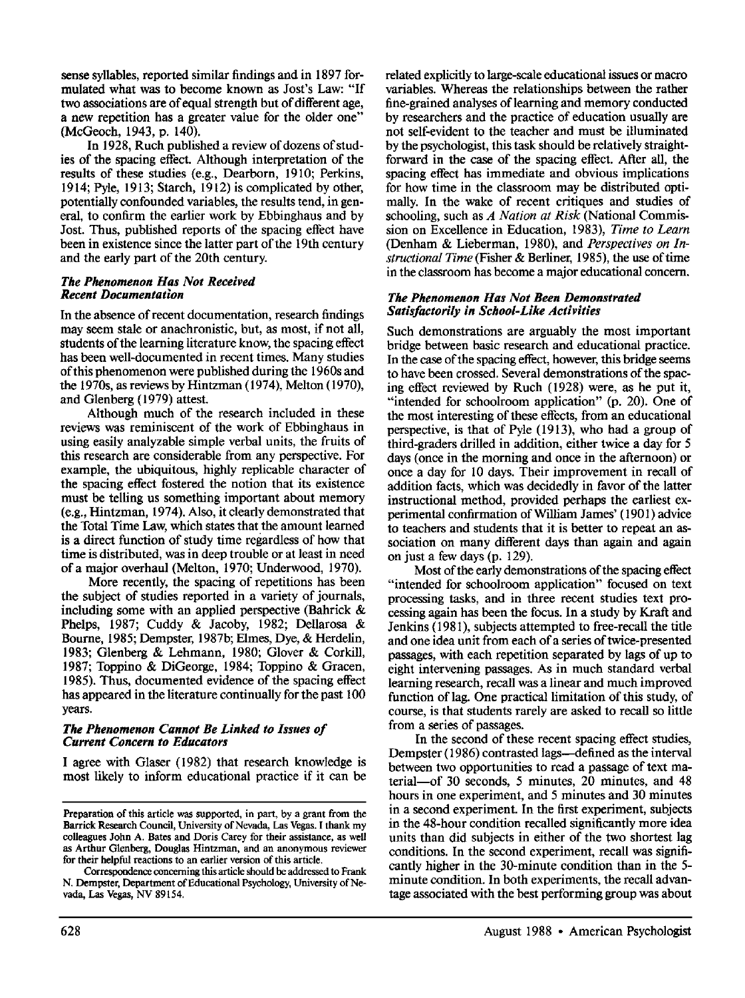**sense** syllables, reported similar findings and in 1897 formulated what was to become known as Jost's Law: "If two associations are of equal strength but of different age, a new repetition has a greater value for the older one" (McGeoch, 1943, p. 140).

In 1928, Ruch published a review of dozens of studies of the spacing effect. Although interpretation of the results of these studies (e.g., Dearborn, 1910; Perkins, 1914; Pyle, 1913; Starch, 1912) is complicated by other, potentially confounded variables, the results tend, in general, to confirm the earlier work by Ebbinghaus and by Jost. Thus, published reports of the spacing effect have been in existence since the latter part of the 19th century and the early part of the 20th century.

### *The Phenomenon Has Not Received Recent Documentation*

In the absence of recent documentation, research findings may seem stale or anachronistic, but, as most, if not all, students of the learning literature know, the spacing effect has been well-documented in recent times. Many studies of this phenomenon were published during the 1960s and the 1970s, as reviews by Hintzman (1974), Melton (1970), and Glenberg (1979) attest.

Although much of the research included in these reviews was reminiscent of the work of Ebbinghaus in using easily analyzable simple verbal units, the fruits of this research are considerable from any perspective. For example, the ubiquitous, highly replicable character of the spacing effect fostered the notion that its existence must be telling us something important about memory (e.g., Hintzman, 1974). Also, it deafly demonstrated that the Total Time Law, which states that the amount learned is a direct function of study time regardless of how that time is distributed, was in deep trouble or at least in need of a major overhaul (Melton, 1970; Underwood, 1970).

More recently, the spacing of repetitions has been the subject of studies reported in a variety of journals, including some with an applied perspective (Bahrick & Phelps, 1987; Cuddy & Jacoby, 1982; Dellarosa & Bourne, 1985; Dempster, 1987b; Elmes, Dye, & Herdelin, 1983; Glenberg & Lehmann, 1980; Glover & Corkill, 1987; Toppino & DiGeorge, 1984; Toppino & Gracen, 1985). Thus, documented evidence of the spacing effect has appeared in the literature continually for the past 100 years.

### *The Phenomenon Cannot Be Linked to Issues of Current Concern to Educators*

I agree with Glaser (1982) that research knowledge is most likely to inform educational practice if it can be related explicitly to large-scale educational issues or macro variables. Whereas the relationships between the rather fine-grained analyses of learning and memory conducted by researchers and the practice of education usually are not self-evident to the teacher and must be illuminated by the psychologist, this task should be relatively straightforward in the case of the spacing effect. After all, the spacing effect has immediate and obvious implications for how time in the classroom may be distributed optimally. In the wake of recent critiques and studies of schooling, such as *A Nation at Risk* (National Commission on Excellence in Education, 1983), *Time to Learn*  (Denham & Lieberman, 1980), and *Perspectives on Instructional Time* (Fisher & Berliner, 1985), the use of time in the classroom has become a major educational concern.

#### *The Phenomenon Has Not Been Demonstrated Satisfactorily in School-Like Activities*

Such demonstrations are arguably the most important bridge between basic research and educational practice. In the case of the spacing effect, however, this bridge seems to have been crossed. Several demonstrations of the spacing effect reviewed by Ruch (1928) were, as he put it, "intended for schoolroom application" (p. 20). One of the most interesting of these effects, from an educational perspective, is that of Pyle (1913), who had a group of third-graders drilled in addition, either twice a day for 5 days (once in the morning and once in the afternoon) or once a day for l0 days. Their improvement in recall of addition facts, which was decidedly in favor of the latter instructional method, provided perhaps the earliest experimental confirmation of William James' (1901) advice to teachers and students that it is better to repeat an association on many different days than again and again on just a few days (p. 129).

Most of the early demonstrations of the spacing effect "intended for schoolroom application" focused on text processing tasks, and in three recent studies text processing again has been the focus. In a study by Kraft and Jenkins ( 198 I), subjects attempted to free-recall the title and one idea unit from each of a series of twice-presented passages, with each repetition separated by lags of up to eight intervening passages. As in much standard verbal learning research, recall was a linear and much improved function of lag. One practical limitation of this study, of course, is that students rarely are asked to recall so little from a series of passages.

In the second of these recent spacing effect studies, Dempster (1986) contrasted lags—defined as the interval between two opportunities to read a passage of text material-of 30 seconds, 5 minutes, 20 minutes, and 48 hours in one experiment, and 5 minutes and 30 minutes in a second experiment. In the first experiment, subjects in the 48-hour condition recalled significantly more idea units than did subjects in either of the two shortest lag conditions. In the second experiment, recall was significantly higher in the 30-minute condition than in the 5 minute condition. In both experiments, the recall advantage associated with the best performing group was about

**Preparation** of this article was supported, in part, by a grant from the Barrick Research Council, University of Nevada, Las Vegas. I thank my **colleagues** John A. Bates and Doris Carey for their assistance, as well as Arthur Glenberg, Douglas Hintzman, and an anonymous reviewer **for their** helpful reactions to an earlier version of this article.

**Correspondence** concerning this article should be addressed to Frank N. Dempster, Department of Educational Psychology, University of Nevada, Las Vegas, NV 89154.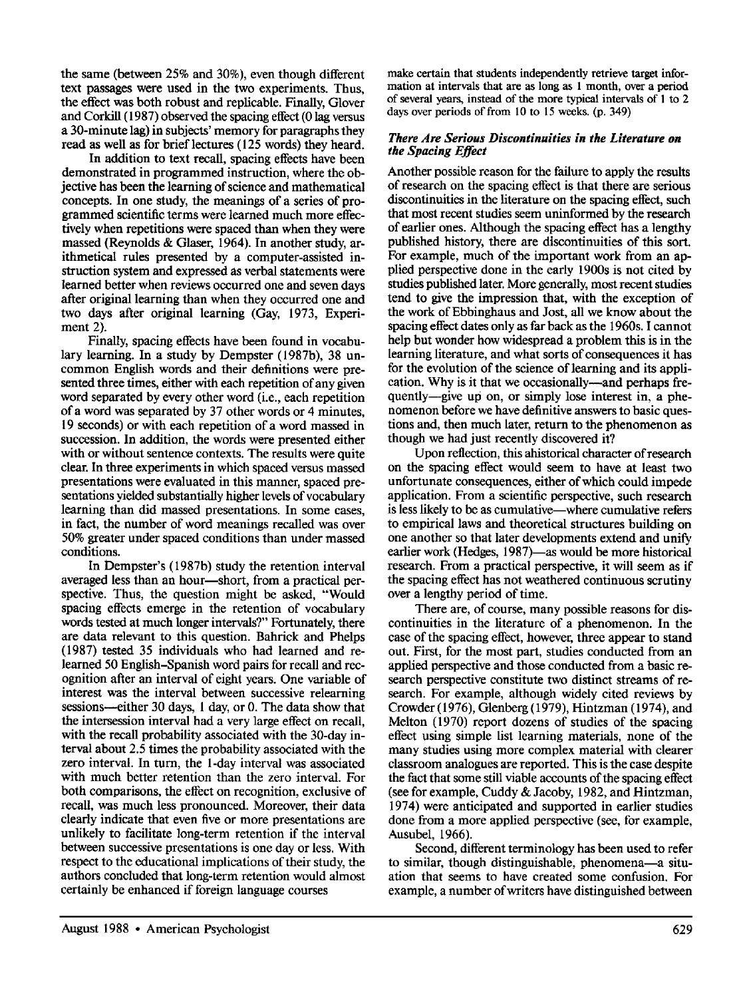the same (between 25% and 30%), even though different text passages were used in the two experiments. Thus, the effect was both robust and replicable. Finally, Glover and Corkill (1987) observed the spacing effect (0 lag versus a 30-minute lag) in subjects' memory for paragraphs they read as well as for brief lectures (125 words) they heard.

In addition to text recall, spacing effects have been demonstrated in programmed instruction, where the objective has been the learning of science and mathematical concepts. In one study, the meanings of a series of programmed scientific terms were learned much more effectively when repetitions were spaced than when they were massed (Reynolds & Glaser, 1964). In another study, arithmetical rules presented by a computer-assisted instruction system and expressed as verbal statements were learned better when reviews occurred one and seven days after original learning than when they occurred one and two days after original learning (Gay, 1973, Experiment 2).

Finally, spacing effects have been found in vocabulary learning. In a study by Dempster (1987b), 38 uncommon English words and their definitions were presented three times, either with each repetition of any given word separated by every other word (i.e., each repetition of a word was separated by 37 other words or 4 minutes, 19 seconds) or with each repetition of a word massed in succession. In addition, the words were presented either with or without sentence contexts. The results were quite clear. In three experiments in which spaced versus massed presentations were evaluated in this manner, spaced presentations yielded substantially higher levels of vocabulary learning than did massed presentations. In some cases, in fact, the number of word meanings recalled was over 50% greater under spaced conditions than under massed conditions.

In Dempster's (1987b) study the retention interval averaged less than an hour--short, from a practical perspective. Thus, the question might be asked, "Would spacing effects emerge in the retention of vocabulary words tested at much longer intervals?" Fortunately, there are data relevant to this question. Bahrick and Phelps (1987) tested 35 individuals who had learned and relearned 50 English-Spanish word pairs for recall and recognition after an interval of eight years. One variable of interest was the interval between successive relearning sessions—either 30 days, 1 day, or 0. The data show that the intersession interval had a very large effect on recall, with the recall probability associated with the 30-day interval about 2.5 times the probability associated with the zero interval. In turn, the l-day interval was associated with much better retention than the zero interval. For both comparisons, the effect on recognition, exclusive of recall, was much less pronounced. Moreover, their data clearly indicate that even five or more presentations are unlikely to facilitate long-term retention if the interval between successive presentations is one day or less. With respect to the educational implications of their study, the authors concluded that long-term retention would almost certainly be enhanced if foreign language courses

make certain that students independently retrieve target information at intervals that are as long as 1 month, over a period of several years, instead of the more typical intervals of 1 to 2 days over periods of from 10 to 15 weeks. (p. 349)

### *There Are Serious Discontinuities in the Literature on the Spacing Effect*

Another possible reason for the failure to apply the results of research on the spacing effect is that there are serious discontinuities in the literature on the spacing effect, such that most recent studies seem uninformed by the research of earlier ones. Although the spacing effect has a lengthy published history, there are discontinuities of this sort. For example, much of the important work from an applied perspective done in the early 1900s is not cited by studies published later. More generally, most recent studies tend to give the impression that, with the exception of the work of Ebbinghaus and Jost, all we know about the spacing effect dates only as far back as the 1960s. I cannot help but wonder how widespread a problem this is in the learning literature, and what sorts of consequences it has for the evolution of the science of learning and its application. Why is it that we occasionally—and perhaps frequently-give up on, or simply lose interest in, a phenomenon before we have definitive answers to basic questions and, then much later, return to the phenomenon as though we had just recently discovered it?

Upon reflection, this ahistorical character of research on the spacing effect would seem to have at least two unfortunate consequences, either of which could impede application. From a scientific perspective, such research is less likely to be as cumulative—where cumulative refers to empirical laws and theoretical structures building on one another so that later developments extend and unify earlier work (Hedges, 1987)—as would be more historical research. From a practical perspective, it will seem as if the spacing effect has not weathered continuous scrutiny over a lengthy period of time.

There are, of course, many possible reasons for discontinuities in the literature of a phenomenon. In the case of the spacing effect, however, three appear to stand out. First, for the most part, studies conducted from an applied perspective and those conducted from a basic research perspective constitute two distinct streams of research. For example, although widely cited reviews by Crowder (1976), Glenberg (1979), Hintzman (1974), and Melton (1970) report dozens of studies of the spacing effect using simple list learning materials, none of the many studies using more complex material with clearer classroom analogues are reported. This is the case despite the fact that some still viable accounts of the spacing effect (see for example, Cuddy & Jacoby, 1982, and Hintzman, 1974) were anticipated and supported in earlier studies done from a more applied perspective (see, for example, Ausubel, 1966).

Second, different terminology has been used to refer to similar, though distinguishable, phenomena-a situation that seems to have created some confusion. For example, a number of writers have distinguished between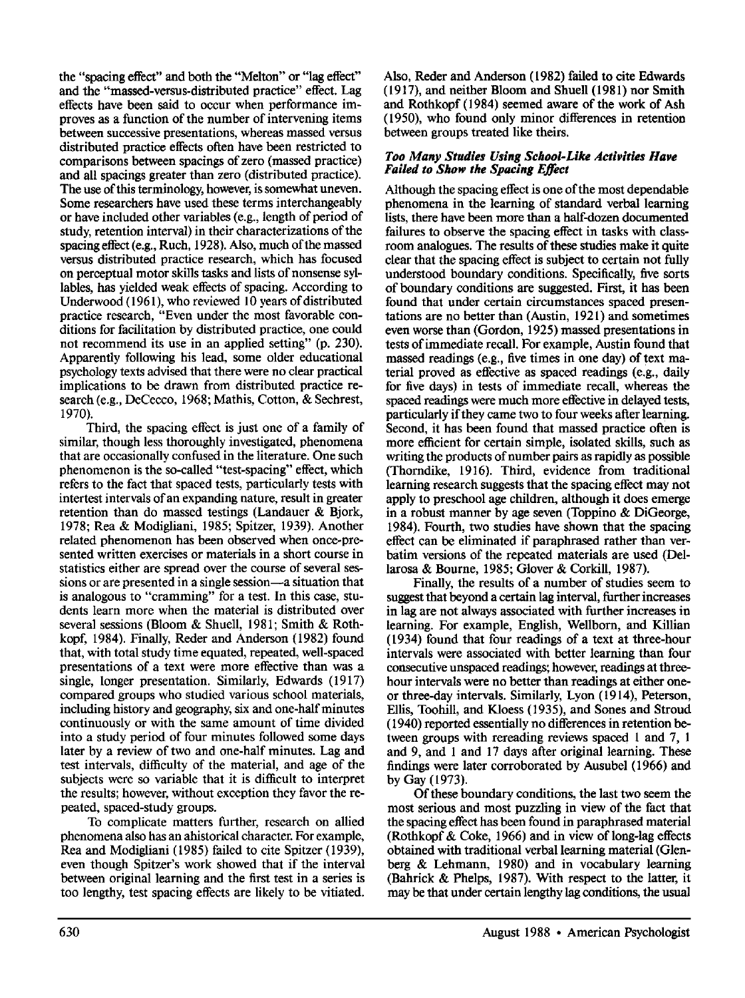the "spacing effect" and both the "Melton" or "lag effect" and the "massed-versus-distributed practice" effect. Lag **effects** have been said to occur when performance improves as a function of the number of intervening items between successive presentations, whereas massed versus distributed practice effects often have been restricted to comparisons between spacings of zero (massed practice) and all spacings greater than zero (distributed practice). The use of this terminology, however, is somewhat uneven. Some researchers have used these terms interchangeably or have included other variables (e.g., length of period of study, retention interval) in their characterizations of the spacing effect (e.g., Ruch, 1928). Also, much of the massed versus distributed practice research, which has focused on perceptual motor skills tasks and lists of nonsense syllables, has yielded weak effects of spacing. According to Underwood (1961), who reviewed 10 years of distributed practice research, "Even under the most favorable conditions for facilitation by distributed practice, one could not recommend its use in an applied setting" (p. 230). Apparently following his lead, some older educational psychology texts advised that there were no clear practical implications to be drawn from distributed practice research (e.g., DeCecco, 1968; Mathis, Cotton, & Sechrest, 1970).

Third, the spacing effect is just one of a family of similar, though less thoroughly investigated, phenomena that are occasionally confused in the literature. One such phenomenon is the so-called "test-spacing" effect, which refers to the fact that spaced tests, particularly tests with intertest intervals of an expanding nature, result in greater retention than do massed testings (Landauer & Bjork, 1978; Rea & Modigliani, 1985; Spitzer, 1939). Another related phenomenon has been observed when once-presented written exercises or materials in a short course in statistics either are spread over the course of several sessions or are presented in a single session—a situation that is analogous to "cramming" for a test. In this case, students learn more when the material is distributed over several sessions (Bloom & Shuell, 1981; Smith & Rothkopf, 1984). Finally, Reder and Anderson (1982) found that, with total study time equated, repeated, well-spaced presentations of a text were more effective than was a single, longer presentation. Similarly, Edwards (1917) compared groups who studied various school materials, including history and geography, six and one-half minutes continuously or with the same amount of time divided into a study period of four minutes followed some days later by a review of two and one-half minutes. Lag and test intervals, difficulty of the material, and age of **the**  subjects were so variable that it is difficult to interpret the results; however, without exception they favor the repeated, spaced-study groups.

To complicate matters further, research on allied phenomena also has an ahistorical character. For example, Rea and Modigliani (1985) failed to cite Spitzer (1939), even though Spitzer's work showed that if the interval between original learning and the first test in a series is too lengthy, test spacing effects are likely to be vitiated.

Also, Reder and Anderson (1982) failed to cite Edwards (1917), and neither Bloom and Shuell (1981) nor Smith and Rothkopf (1984) seemed aware of the work of Ash (1950), who found only minor differences in retention between groups treated like theirs.

### *Too Many Studies Using School-Like Activities Have Failed to Show the Spacing Effect*

Although the spacing effect is one of the most dependable phenomena in the learning of standard verbal learning lists, there have been more than a half-dozen documented failures to observe the spacing effect in tasks with classroom analogues. The results of these studies make it quite clear that the spacing effect is subject to certain not fully understood boundary conditions. Specifically, five sorts of boundary conditions are suggested. First, it has been found that under certain circumstances spaced presentations are no better than (Austin, 192 l) and sometimes even worse than (Gordon, 1925) massed presentations in **tests** of immediate recall. For example, Austin found that massed readings (e.g., five times in one day) of text material proved as effective as spaced readings (e.g., daily for five days) in tests of immediate recall, whereas **the**  spaced readings were much more effective in delayed tests, particularly if they came two to four weeks after learning. Second, it has been found that massed practice often is more efficient for certain simple, isolated skills, such as writing the products of number pairs as rapidly as possible (Thorndike, 1916). Third, evidence from traditional learning research suggests that the spacing effect may not apply to preschool age children, although it does emerge in a robust manner by age seven (Toppino & DiGeorge, 1984). Fourth, two studies have shown that the spacing effect can be eliminated if paraphrased rather than verbatim versions of the repeated materials are used (Dellarosa & Bourne, 1985; Glover & Corkill, 1987).

Finally, the results of a number of studies seem to suggest that beyond a certain lag interval, further increases in lag are not always associated with further increases in learning. For example, English, Wellborn, and Killian (1934) found that four readings of a text at three-hour intervals were associated with better learning than four consecutive unspaced readings; however, readings at threehour intervals were no better than readings at either oneor three-day intervals. Similarly, Lyon ( 1914), Peterson, Ellis, Toohill, and Kloess (1935), and Sones and Stroud (1940) reported essentially no differences in retention between groups with rereading reviews spaced l and 7, 1 and 9, and l and 17 days after original learning. These findings were later corroborated by Ausubel (1966) and by Gay (1973).

Of these boundary conditions, the last two seem the most serious and most puzzling in view of the fact that the spacing effect has been found in paraphrased material (Rothkopf & Coke, 1966) and in view of long-lag effects obtained with traditional verbal learning material (Glenberg & Lehmann, 1980) and in vocabulary learning (Bahrick & Phelps, 1987). With respect to the latter, it may be that under certain lengthy lag conditions, the usual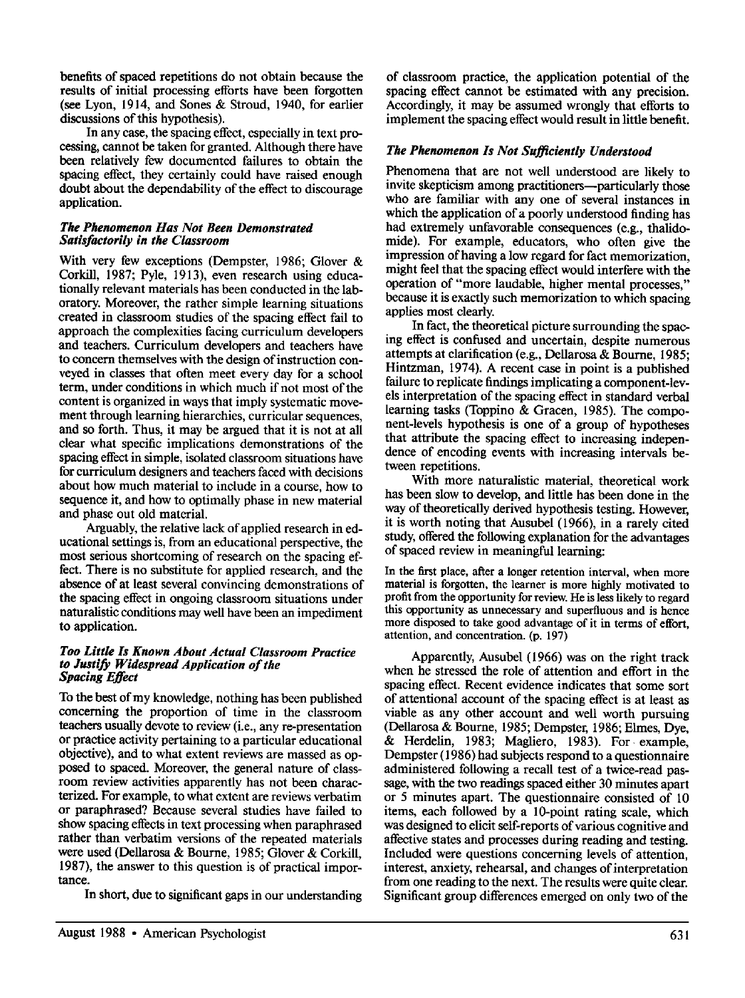benefits of spaced repetitions do not obtain because the results of initial processing efforts have been forgotten (see Lyon, 1914, and Sones & Stroud, 1940, for earlier discussions of this hypothesis).

In any case, the spacing effect, especially in text processing, cannot be taken for granted. Although there have been relatively few documented failures to obtain the spacing effect, they certainly could have raised enough doubt about the dependability of the effect to discourage application.

### *The Phenomenon Has Not Been Demonstrated Satisfactorily in the Classroom*

With very few exceptions (Dempster, 1986; Glover & Corkill, 1987; Pyle, 1913), even research using educationally relevant materials has been conducted in the laboratory. Moreover, the rather simple learning situations created in classroom studies of the spacing effect fail to approach the complexities facing curriculum developers and teachers. Curriculum developers and teachers have to concern themselves with the design of instruction conveyed in classes that often meet every day for a school term, under conditions in which much if not most of the content is organized in ways that imply systematic movement through learning hierarchies, curricular sequences, and so forth. Thus, it may be argued that it is not at all clear what specific implications demonstrations of the spacing effect in simple, isolated classroom situations have for curriculum designers and teachers faced with decisions about how much material to include in a course, how to sequence it, and how to optimally phase in new material and phase out old material.

Arguably, the relative lack of applied research in educational settings is, from an educational perspective, the most serious shortcoming of research on the spacing effect. There is no substitute for applied research, and the absence of at least several convincing demonstrations of **the** spacing effect in ongoing classroom situations under naturalistic conditions may well have been an impediment to application.

#### *Too Little Is Known About Actual Classroom Practice to Justify Widespread Application of the Spacing Effect*

To the best of my knowledge, nothing has been published concerning the proportion of time in the classroom teachers usually devote to review (i.e., any re-presentation or practice activity pertaining to a particular educational objective), and to what extent reviews are massed as opposed to spaced. Moreover, the general nature of classroom review activities apparently has not been characterized. For example, to what extent are reviews verbatim or paraphrased? Because several studies have failed to show spacing effects in text processing when paraphrased rather than verbatim versions of the repeated materials were used (Dellarosa & Bourne, 1985; Glover & Corkill, 1987), the answer to this question is of practical importance.

In short, due to significant gaps in our understanding

of classroom practice, the application potential of the spacing effect cannot be estimated with any precision. Accordingly, it may be assumed wrongly that efforts to implement the spacing effect would result in little benefit.

## *The Phenomenon Is Not Sufficiently Understood*

Phenomena that are not well understood are likely to invite skepticism among practitioners--particularly those who are familiar with any one of several instances in which the application of a poorly understood finding has had extremely unfavorable consequences (e.g., thalidomide). For example, educators, who often give the impression of having a low regard for fact memorization, might feel that the spacing effect would interfere with the operation of "more laudable, higher mental processes," because it is exactly such memorization to which spacing applies most clearly.

In fact, the theoretical picture surrounding the spacing effect is confused and uncertain, despite numerous attempts at clarification (e.g., Dellarosa & Bourne, 1985; Hintzman, 1974). A recent case in point is a published failure to replicate findings implicating a component-levels interpretation of the spacing effect in standard verbal learning tasks (Toppino & Gracen, 1985). The component-levels hypothesis is one of a group of hypotheses that attribute the spacing effect to increasing independence of encoding events with increasing intervals between repetitions.

With more naturalistic material, theoretical work has been slow to develop, and little has been done in the way of theoretically derived hypothesis testing. However, it is worth noting that Ausubel (1966), in a rarely cited study, offered the following explanation for the advantages of spaced review in meaningful learning:

In the first place, after a longer retention interval, when more material is forgotten, the learner is more highly motivated to profit from the opportunity for review. He is less likely to regard this opportunity as unnecessary and superfluous and is hence more disposed to take good advantage of it in terms of effort, attention, and concentration. (p. 197)

Apparently, Ausubel (1966) was on the right track when he stressed the role of attention and effort in the spacing effect. Recent evidence indicates that some sort of attentional account of the spacing effect is at least as viable as any other account and well worth pursuing (Dellarosa & Bourne, 1985; Dempster, 1986; Elmes, Dye, & Herdelin, 1983; Magliero, 1983). For. example, Dempster (1986) had subjects respond to a questionnaire administered following a recall test of a twice-read passage, with the two readings spaced either 30 minutes apart or 5 minutes apart. The questionnaire consisted of 10 items, each followed by a 10-point rating scale, which was designed to elicit self-reports of various cognitive and affective states and processes during reading and testing. Included were questions concerning levels of attention, interest, anxiety, rehearsal, and changes of interpretation from one reading to the next. The results were quite clear. Significant group differences emerged on only two of the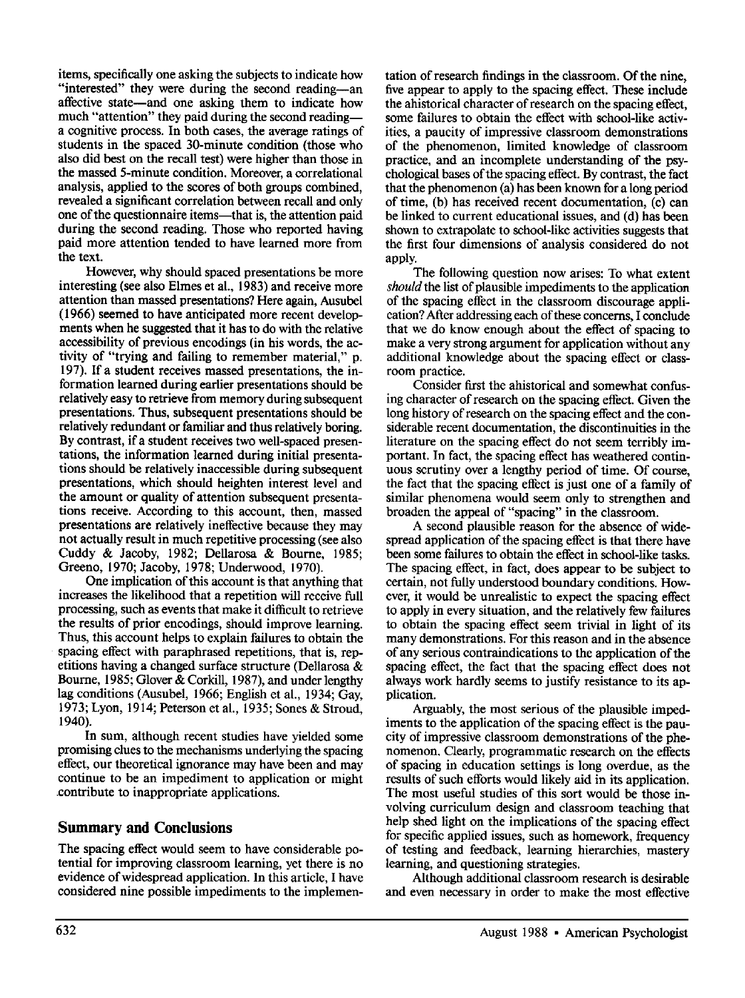items, specifically one asking the subjects to indicate how "interested" they were during the second reading-an affective state—and one asking them to indicate how much "attention" they paid during the second reading-a cognitive process. In both cases, the average ratings of students in the spaced 30-minute condition (those who also did best on the recall test) were higher than those in the massed 5-minute condition. Moreover, a correlational analysis, applied to the scores of both groups combined, revealed a significant correlation between recall and only one of the questionnaire items—that is, the attention paid during the second reading. Those who reported having paid more attention tended to have learned more from the text.

However, why should spaced presentations be more interesting (see also Elmes et al., 1983) and receive more attention than massed presentations? Here again, Ausubel (1966) seemed to have anticipated more recent developments when he suggested that it has to do with the relative accessibility of previous encodings (in his words, the activity of "trying and failing to remember material," p. 197). If a student receives massed presentations, the information learned during earlier presentations should be relatively easy to retrieve from memory during subsequent presentations. Thus, subsequent presentations should be relatively redundant or familiar and thus relatively boring. By contrast, if a student receives two well-spaced presentations, the information learned during initial presentations should be relatively inaccessible during subsequent presentations, which should heighten interest level and the amount or quality of attention subsequent presentations receive. According to this account, then, massed presentations are relatively ineffective because they may not actually result in much repetitive processing (see also Cuddy & Jacoby, 1982; Dellarosa & Bourne, 1985; Greeno, 1970; Jacoby, 1978; Underwood, 1970).

One implication of this account is that anything that increases the likelihood that a repetition will receive full processing, such as events that make it difficult to retrieve the results of prior encodings, should improve learning. Thus, this account helps to explain failures to obtain the spacing effect with paraphrased repetitions, that is, repetitions having a changed surface structure (Dellarosa & Bourne, 1985; Glover & Corkill, 1987), and under lengthy lag conditions (Ausubel, 1966; English et al., 1934; Gay, 1973; Lyon, 1914; Peterson et al., 1935; Sones & Stroud, 1940).

In sum, although recent studies have yielded some promising clues to the mechanisms underlying the spacing effect, our theoretical ignorance may have been and may continue to be an impediment to application or might contribute to inappropriate applications.

# **Summary and Conclusions**

The spacing effect would seem to have considerable potential for improving classroom learning, yet there is no evidence of widespread application. In this article, I have considered nine possible impediments to the implementation of research findings in the classroom. Of the nine, five appear to apply to the spacing effect. These include the ahistorical character of research on the spacing effect, some failures to obtain the effect with school-like activities, a paucity of impressive classroom demonstrations of the phenomenon, limited knowledge of classroom practice, and an incomplete understanding of the psychological bases of the spacing effect. By contrast, the fact that the phenomenon (a) has been known for a long period of time, (b) has received recent documentation, (c) can be linked to current educational issues, and (d) has been shown to extrapolate to school-like activities suggests that the first four dimensions of analysis considered do not apply.

The following question now arises: To what extent *should* the list of plausible impediments to the application of the spacing effect in the classroom discourage application? After addressing each of these concerns, I conclude that we do know enough about the effect of spacing to make a very strong argument for application without any additional knowledge about the spacing effect or classroom practice.

Consider first the ahistorical and somewhat confusing character of research on the spacing effect. Given the long history of research on the spacing effect and the considerable recent documentation, the discontinuities in the literature on the spacing effect do not seem terribly important. In fact, the spacing effect has weathered continuous scrutiny over a lengthy period of time. Of course, the fact that the spacing effect is just one of a family of similar phenomena would seem only to strengthen and broaden the appeal of "spacing" in the classroom.

A second plausible reason for the absence of widespread application of the spacing effect is that there have been some failures to obtain the effect in school-like tasks. The spacing effect, in fact, does appear to be subject to certain, not fully understood boundary conditions. However, it would be unrealistic to expect the spacing effect to apply in every situation, and the relatively few failures to obtain the spacing effect seem trivial in light of its many demonstrations. For this reason and in the absence of any serious contraindications to the application of the spacing effect, the fact that the spacing effect does not always work hardly seems to justify resistance to its application.

Arguably, the most serious of the plausible impediments to the application of the spacing effect is the paucity of impressive classroom demonstrations of the phenomenon. Clearly, programmatic research on the effects of spacing in education settings is long overdue, as the results of such efforts would likely aid in its application. The most useful studies of this sort would be those involving curriculum design and classroom teaching that help shed light on the implications of the spacing effect for specific applied issues, such as homework, frequency of testing and feedback, learning hierarchies, mastery learning, and questioning strategies.

Although additional classroom research is desirable and even necessary in order to make the most effective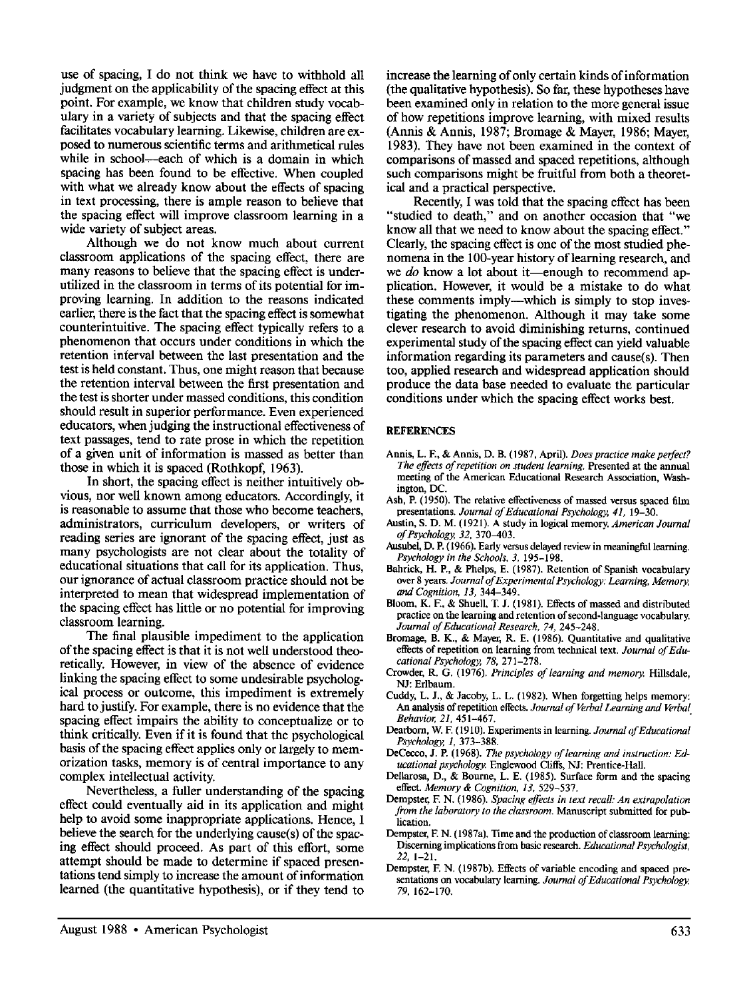use of spacing, I do not think we have to withhold all judgment on the applicability of the spacing effect at this point. For example, we know that children study vocabulary in a variety of subjects and that the spacing effect facilitates vocabulary learning. Likewise, children are exposed to numerous scientific terms and arithmetical rules while in school—each of which is a domain in which spacing has been found to be effective. When coupled with what we already know about the effects of spacing in text processing, there is ample reason to believe that the spacing effect will improve classroom learning in a wide variety of subject areas.

Although we do not know much about current classroom applications of the spacing effect, there are many reasons to believe that the spacing effect is underutilized in the classroom in terms of its potential for improving learning. In addition to the reasons indicated earlier, there is the fact that the spacing effect is somewhat counterintuitive. The spacing effect typically refers to a phenomenon that occurs under conditions in which the retention interval between the last presentation and the test is held constant. Thus, one might reason that because the retention interval between the first presentation and the test is shorter under massed conditions, this condition should result in superior performance. Even experienced educators, when judging the instructional effectiveness of text passages, tend to rate prose in which the repetition of a given unit of information is massed as better than those in which it is spaced (Rothkopf, 1963).

In short, the spacing effect is neither intuitively obvious, nor well known among educators. Accordingly, it is reasonable to assume that those who become teachers, administrators, curriculum developers, or writers of reading series are ignorant of the spacing effect, just as many psychologists are not clear about the totality of educational situations that call for its application. Thus, our ignorance of actual classroom practice should not be interpreted to mean that widespread implementation of the spacing effect has little or no potential for improving classroom learning.

The final plausible impediment to the application of the spacing effect is that it is not well understood theoretically. However, in view of the absence of evidence linking the spacing effect to some undesirable psychological process or outcome, this impediment is extremely hard to justify. For example, there is no evidence that the spacing effect impairs the ability to conceptualize or to think critically. Even if it is found that the psychological basis of the spacing effect applies only or largely to memorization tasks, memory is of central importance to any complex intellectual activity.

Nevertheless, a fuller understanding of the spacing effect could eventually aid in its application and might help to avoid some inappropriate applications. Hence, I believe the search for the underlying cause(s) of the spacing effect should proceed. As part of this effort, some attempt should be made to determine if spaced presentations tend simply to increase the amount of information learned (the quantitative hypothesis), or if they tend to increase the learning of only certain kinds of information (the qualitative hypothesis). So far, these hypotheses have been examined only in relation to the more general issue of how repetitions improve learning, with mixed results (Annis & Annis, 1987; Bromage & Mayer, 1986; Mayer, 1983). They have not been examined in the context of comparisons of massed and spaced repetitions, although such comparisons might be fruitful from both a theoretical and a practical perspective.

Recently, I was told that the spacing effect has been "studied to death," and on another occasion that "we know all that we need to know about the spacing effect." Clearly, the spacing effect is one of the most studied phenomena in the 100-year history of learning research, and we *do* know a lot about it—enough to recommend application. However, it would be a mistake to do what these comments imply—which is simply to stop investigating the phenomenon. Although it may take some clever research to avoid diminishing returns, continued experimental study of the spacing effect can yield valuable information regarding its parameters and cause(s). Then too, applied research and widespread application should produce the data base needed to evaluate the particular conditions under which the spacing effect works best.

#### **REFERENCES**

- Annis, L. E, & Annis, D. B. (1987, April). *Does practice make perfect? The effects of repetition on student learning.* Presented at the annual meeting of the American Educational Research Association, Washington, DC.
- Ash, P. (1950). The relative effectiveness of massed versus spaced film presentations. *Journal of Educational Psychology, 41,* 19-30.
- Austin, S. D. M. (1921). A study in logical memory. *American Journal of Psychology, 32,* 370-403.
- Ausubel, D. P. (1966). Early versus delayed review in meaningful learning. *Psychology in the Schools, 3,* 195-198.
- Bahrick, H. P., & Phelps, E. (1987). Retention of Spanish vocabulary over 8 years. *Journal of Experimental Psychology: Learning, Memory, and Cognition, 13,* 344-349.
- Bloom, K. F., & Shuell, T. J. (1981). Effects of massed and distributed practice on the learning and retention of second-language vocabulary. *Journal of Educational Research, 74,* 245-248.
- Bromage, B. K., & Mayer, R. E. (1986). Quantitative and qualitative effects of repetition on learning from technical text. *Journal of Educational Psychology, 78,* 271-278.
- Crowder, R. G. (1976). *Principles of learning and memory.* Hillsdale, NJ: Erlbaum.
- Cuddy, L. J., & Jacoby, L. L. (1982). When forgetting helps memory: An analysis of repetition effects. *Journal of Verbal Learning and Verbal Behavior, 21,* 451-467.
- Dearborn, W. E (1910). Experiments in learning. *Journal of Educational Psychology, 1,* 373-388.
- DeCecco, J. E (1968). *The psychology of learning and instruction: Educational psychology.* Engiewood Cliffs, NJ: Prentice-Hall.
- Dellarosa, D., & Bourne, L. E. (1985). Surface form and the spacing effect. *Memory & Cognition, 13,* 529-537.
- Dempster, E N. (1986). *Spacing effects in text recall: An extrapolation from the laboratory to the classroom.* Manuscript submitted for publication.
- Dempster, E N. (1987a). Time and the production of classroom learning: Discerning implications from basic research. *Educational Psychologist, 22,* 1-21.
- Dempster, E N. (1987b). Effects of variable encoding and spaced presentations on vocabulary learning. *Journal of Educational Psychology, 79,* 162-170.